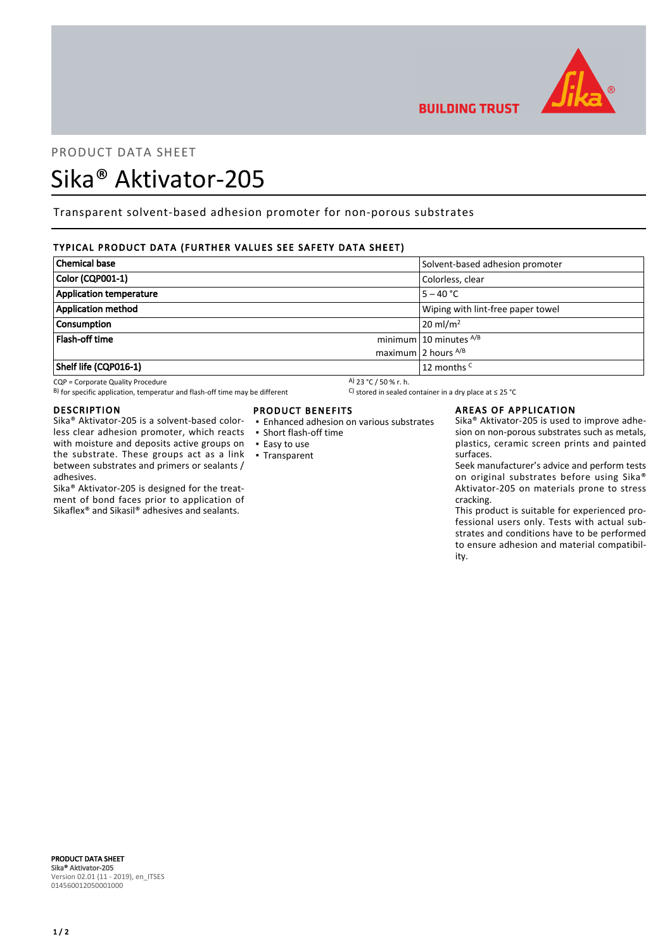

# PRODUCT DATA SHEET

# Sika® Aktivator-205

Transparent solvent-based adhesion promoter for non-porous substrates

# TYPICAL PRODUCT DATA (FURTHER VALUES SEE SAFETY DATA SHEET)

| <b>Chemical base</b>      | Solvent-based adhesion promoter   |
|---------------------------|-----------------------------------|
| Color (CQP001-1)          | Colorless, clear                  |
| Application temperature   | $5 - 40 °C$                       |
| <b>Application method</b> | Wiping with lint-free paper towel |
| <b>Consumption</b>        | $20 \text{ ml/m}^2$               |
| Flash-off time            | minimum $10$ minutes $^{A/B}$     |
|                           | maximum 2 hours $^{A/B}$          |
| Shelf life (CQP016-1)     | 12 months <sup>C</sup>            |

CQP = Corporate Quality Procedure<br>
B) for specific application, temperatur and flash-off time may be different  $\begin{array}{c} \text{A)}$  23 °C / 50 % r. h.<br>
A) for specific application, temperatur and flash-off time may be different B) for specific application, temperatur and flash-off time may be different

#### DESCRIPTION

Sika® Aktivator-205 is a solvent-based colorless clear adhesion promoter, which reacts with moisture and deposits active groups on the substrate. These groups act as a link between substrates and primers or sealants / adhesives.

Sika® Aktivator-205 is designed for the treatment of bond faces prior to application of Sikaflex® and Sikasil® adhesives and sealants.

## PRODUCT BENEFITS

- Enhanced adhesion on various substrates
- Short flash-off time
- Easy to use
- Transparent

#### AREAS OF APPLICATION

**BUILDING TRUST** 

Sika® Aktivator-205 is used to improve adhesion on non-porous substrates such as metals, plastics, ceramic screen prints and painted surfaces.

Seek manufacturer's advice and perform tests on original substrates before using Sika® Aktivator-205 on materials prone to stress cracking.

This product is suitable for experienced professional users only. Tests with actual substrates and conditions have to be performed to ensure adhesion and material compatibility.

PRODUCT DATA SHEET Sika® Aktivator-205 Version 02.01 (11 - 2019), en\_ITSES 014560012050001000